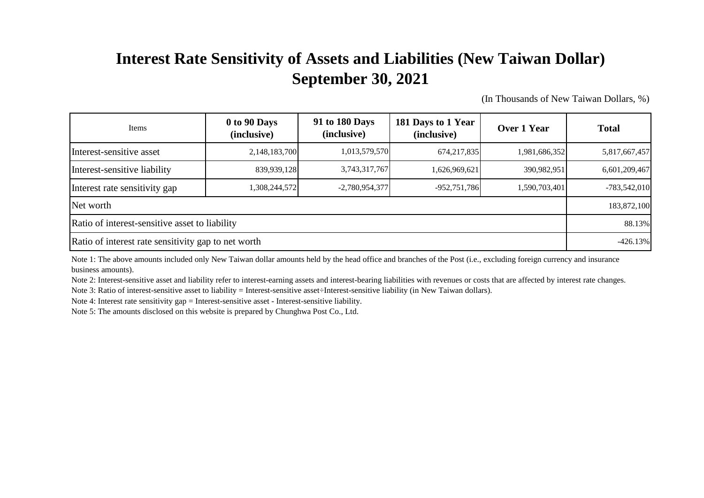## **Interest Rate Sensitivity of Assets and Liabilities (New Taiwan Dollar) September 30, 2021**

(In Thousands of New Taiwan Dollars, %)

| Items                                               | 0 to 90 Days<br>(inclusive) | 91 to 180 Days<br>(inclusive) | 181 Days to 1 Year<br>(inclusive) | Over 1 Year   | <b>Total</b>   |
|-----------------------------------------------------|-----------------------------|-------------------------------|-----------------------------------|---------------|----------------|
| Interest-sensitive asset                            | 2,148,183,700               | 1,013,579,570                 | 674,217,835                       | 1,981,686,352 | 5,817,667,457  |
| Interest-sensitive liability                        | 839,939,128                 | 3,743,317,767                 | 1,626,969,621                     | 390.982.951   | 6,601,209,467  |
| Interest rate sensitivity gap                       | 1,308,244,572               | $-2,780,954,377$              | $-952,751,786$                    | 1,590,703,401 | $-783,542,010$ |
| Net worth                                           |                             |                               |                                   |               |                |
| Ratio of interest-sensitive asset to liability      |                             |                               |                                   |               |                |
| Ratio of interest rate sensitivity gap to net worth |                             |                               |                                   |               |                |

Note 1: The above amounts included only New Taiwan dollar amounts held by the head office and branches of the Post (i.e., excluding foreign currency and insurance business amounts).

Note 2: Interest-sensitive asset and liability refer to interest-earning assets and interest-bearing liabilities with revenues or costs that are affected by interest rate changes.

Note 3: Ratio of interest-sensitive asset to liability = Interest-sensitive asset÷Interest-sensitive liability (in New Taiwan dollars).

Note 4: Interest rate sensitivity gap = Interest-sensitive asset - Interest-sensitive liability.

Note 5: The amounts disclosed on this website is prepared by Chunghwa Post Co., Ltd.